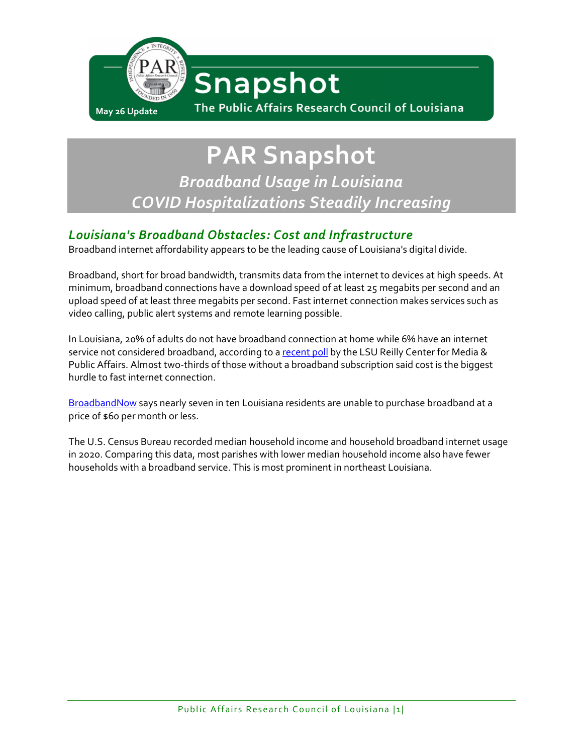

**PAR Snapshot** *Broadband Usage in Louisiana COVID Hospitalizations Steadily Increasing*

# *Louisiana's Broadband Obstacles: Cost and Infrastructure*

Broadband internet affordability appears to be the leading cause of Louisiana's digital divide.

Broadband, short for broad bandwidth, transmits data from the internet to devices at high speeds. At minimum, broadband connections have a download speed of at least 25 megabits per second and an upload speed of at least three megabits per second. Fast internet connection makes services such as video calling, public alert systems and remote learning possible.

In Louisiana, 20% of adults do not have broadband connection at home while 6% have an internet service not considered broadband, according to a [recent poll](https://www.lsu.edu/manship/research/centers-labs/rcmpa/research/la_survey_reports_pdf/2022_la_survey_report_5.pdf) by the LSU Reilly Center for Media & Public Affairs. Almost two-thirds of those without a broadband subscription said cost is the biggest hurdle to fast internet connection.

[BroadbandNow](https://broadbandnow.com/Louisiana) says nearly seven in ten Louisiana residents are unable to purchase broadband at a price of \$60 per month or less.

The U.S. Census Bureau recorded median household income and household broadband internet usage in 2020. Comparing this data, most parishes with lower median household income also have fewer households with a broadband service. This is most prominent in northeast Louisiana.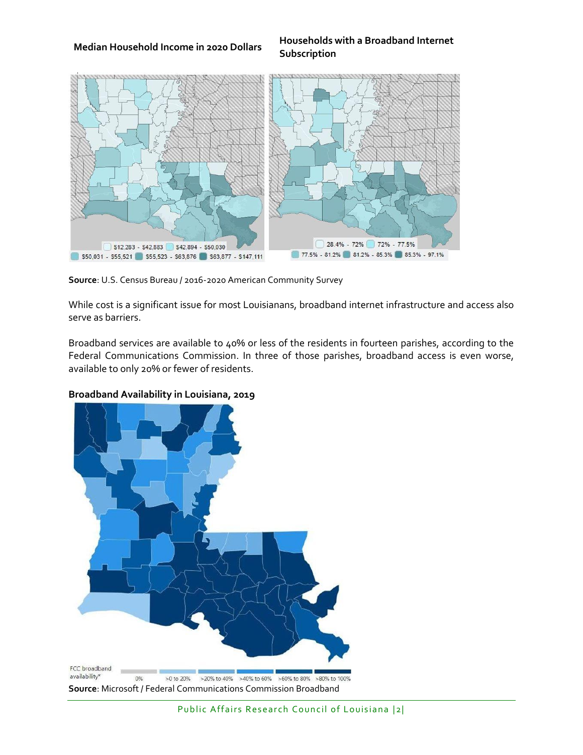#### **Median Household Income in 2020 Dollars Households with a Broadband Internet Subscription**



**Source**: U.S. Census Bureau / 2016-2020 American Community Survey

While cost is a significant issue for most Louisianans, broadband internet infrastructure and access also serve as barriers.

Broadband services are available to 40% or less of the residents in fourteen parishes, according to the Federal Communications Commission. In three of those parishes, broadband access is even worse, available to only 20% or fewer of residents.

### **Broadband Availability in Louisiana, 2019**

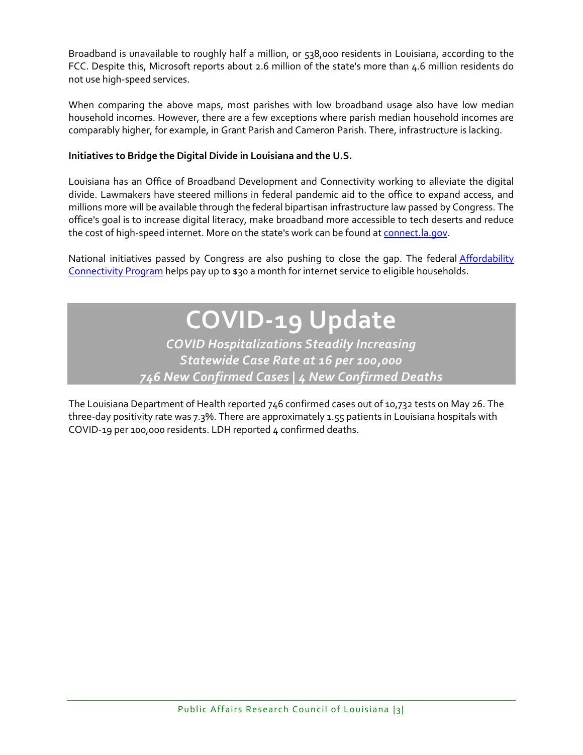Broadband is unavailable to roughly half a million, or 538,000 residents in Louisiana, according to the FCC. Despite this, Microsoft reports about 2.6 million of the state's more than 4.6 million residents do not use high-speed services.

When comparing the above maps, most parishes with low broadband usage also have low median household incomes. However, there are a few exceptions where parish median household incomes are comparably higher, for example, in Grant Parish and Cameron Parish. There, infrastructure is lacking.

## **Initiatives to Bridge the Digital Divide in Louisiana and the U.S.**

Louisiana has an Office of Broadband Development and Connectivity working to alleviate the digital divide. Lawmakers have steered millions in federal pandemic aid to the office to expand access, and millions more will be available through the federal bipartisan infrastructure law passed by Congress. The office's goal is to increase digital literacy, make broadband more accessible to tech deserts and reduce the cost of high-speed internet. More on the state's work can be found at [connect.la.gov.](https://connect.la.gov/)

National initiatives passed by Congress are also pushing to close the gap. The federal [Affordability](https://www.fcc.gov/acp)  [Connectivity Program](https://www.fcc.gov/acp) helps pay up to \$30 a month for internet service to eligible households.

> **COVID-19 Update** *COVID Hospitalizations Steadily Increasing Statewide Case Rate at 16 per 100,000 746 New Confirmed Cases | 4 New Confirmed Deaths*

The Louisiana Department of Health reported 746 confirmed cases out of 10,732 tests on May 26. The three-day positivity rate was 7.3%. There are approximately 1.55 patients in Louisiana hospitals with COVID-19 per 100,000 residents. LDH reported 4 confirmed deaths.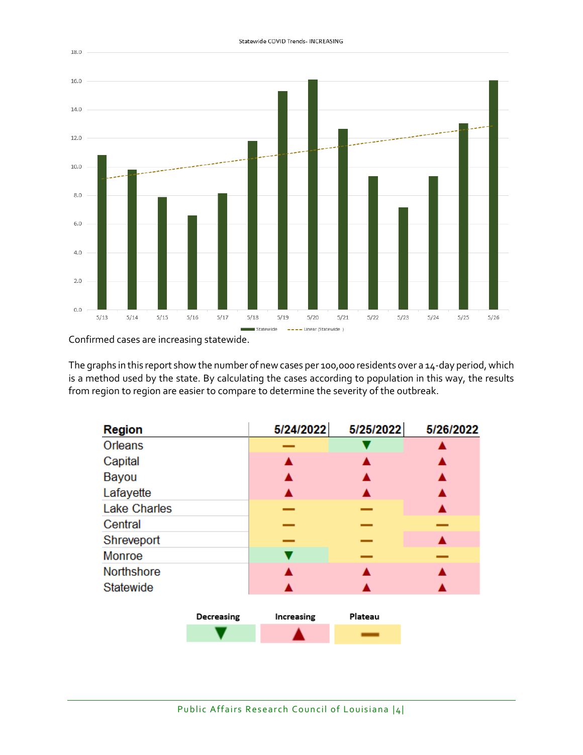

Statewide COVID Trends- INCREASING

Confirmed cases are increasing statewide.

The graphs in this report show the number of new cases per 100,000 residents over a 14-day period, which is a method used by the state. By calculating the cases according to population in this way, the results from region to region are easier to compare to determine the severity of the outbreak.

| <b>Region</b>       |            | 5/24/2022  | 5/25/2022 | 5/26/2022 |
|---------------------|------------|------------|-----------|-----------|
| Orleans             |            |            |           |           |
| Capital             |            |            |           |           |
| Bayou               |            |            |           |           |
| Lafayette           |            |            |           |           |
| <b>Lake Charles</b> |            |            |           |           |
| Central             |            |            |           |           |
| Shreveport          |            |            |           |           |
| <b>Monroe</b>       |            |            |           |           |
| <b>Northshore</b>   |            |            |           |           |
| Statewide           |            |            |           |           |
|                     |            |            |           |           |
|                     | Decreasing | Increasing | Plateau   |           |
|                     |            |            |           |           |

Public Affairs Research Council of Louisiana |4|